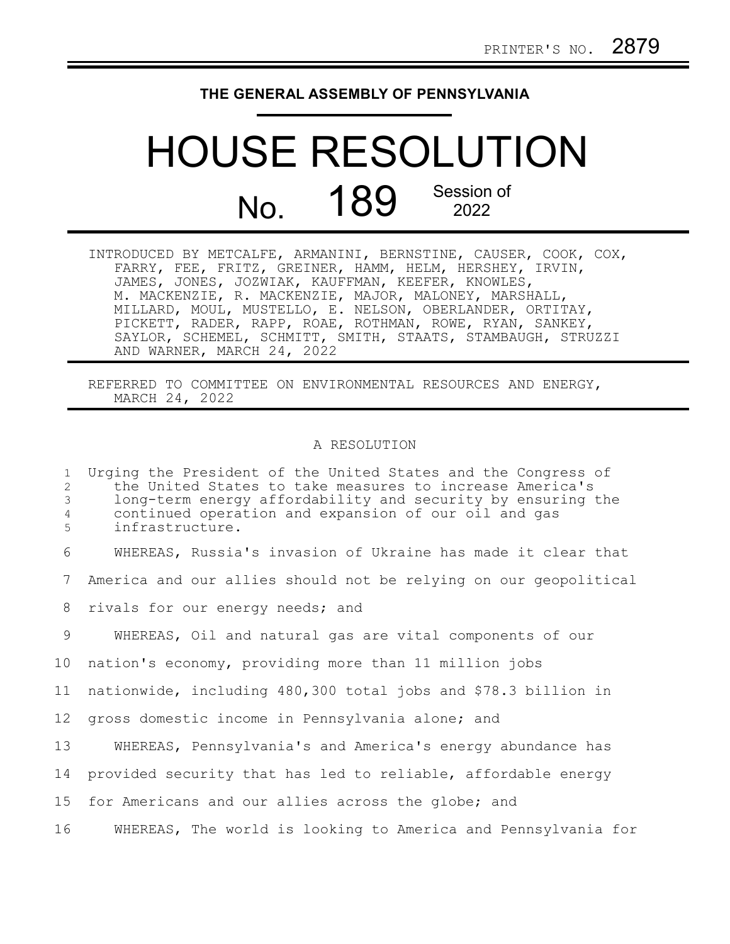## **THE GENERAL ASSEMBLY OF PENNSYLVANIA**

## HOUSE RESOLUTION No. 189 Session of 2022

| INTRODUCED BY METCALFE, ARMANINI, BERNSTINE, CAUSER, COOK, COX, |
|-----------------------------------------------------------------|
| FARRY, FEE, FRITZ, GREINER, HAMM, HELM, HERSHEY, IRVIN,         |
| JAMES, JONES, JOZWIAK, KAUFFMAN, KEEFER, KNOWLES,               |
| M. MACKENZIE, R. MACKENZIE, MAJOR, MALONEY, MARSHALL,           |
| MILLARD, MOUL, MUSTELLO, E. NELSON, OBERLANDER, ORTITAY,        |
| PICKETT, RADER, RAPP, ROAE, ROTHMAN, ROWE, RYAN, SANKEY,        |
| SAYLOR, SCHEMEL, SCHMITT, SMITH, STAATS, STAMBAUGH, STRUZZI     |
| AND WARNER, MARCH 24, 2022                                      |

REFERRED TO COMMITTEE ON ENVIRONMENTAL RESOURCES AND ENERGY, MARCH 24, 2022

## A RESOLUTION

Urging the President of the United States and the Congress of the United States to take measures to increase America's long-term energy affordability and security by ensuring the continued operation and expansion of our oil and gas infrastructure. WHEREAS, Russia's invasion of Ukraine has made it clear that America and our allies should not be relying on our geopolitical rivals for our energy needs; and WHEREAS, Oil and natural gas are vital components of our nation's economy, providing more than 11 million jobs nationwide, including 480,300 total jobs and \$78.3 billion in gross domestic income in Pennsylvania alone; and WHEREAS, Pennsylvania's and America's energy abundance has provided security that has led to reliable, affordable energy for Americans and our allies across the globe; and WHEREAS, The world is looking to America and Pennsylvania for 1 2 3 4 5 6 7 8 9 10 11 12 13 14 15 16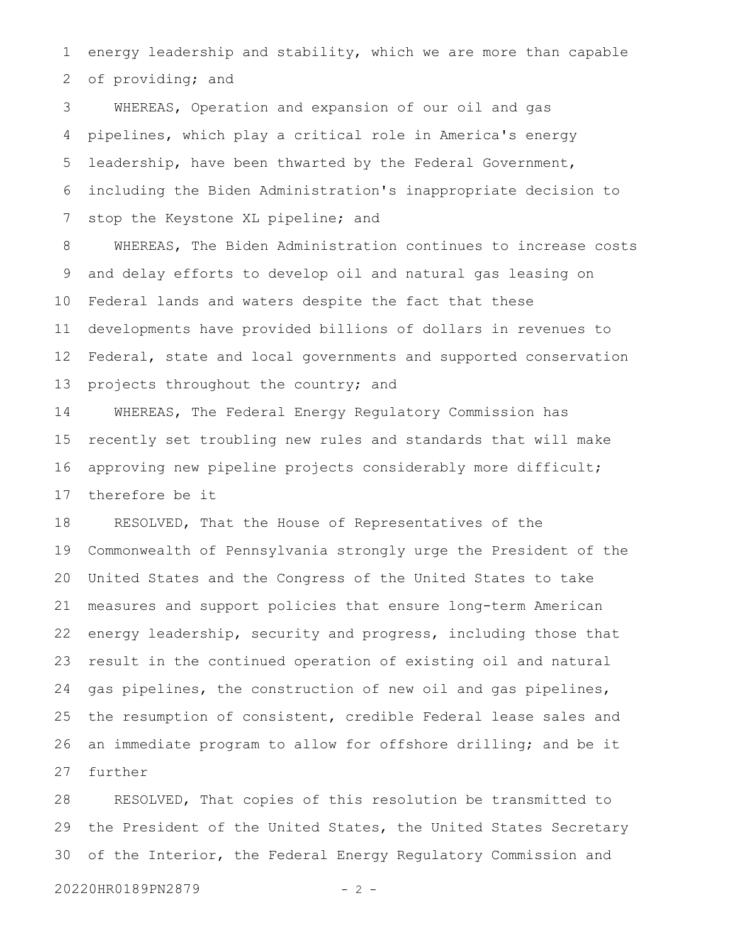energy leadership and stability, which we are more than capable of providing; and 1 2

WHEREAS, Operation and expansion of our oil and gas pipelines, which play a critical role in America's energy leadership, have been thwarted by the Federal Government, including the Biden Administration's inappropriate decision to stop the Keystone XL pipeline; and 3 4 5 6 7

WHEREAS, The Biden Administration continues to increase costs and delay efforts to develop oil and natural gas leasing on Federal lands and waters despite the fact that these developments have provided billions of dollars in revenues to Federal, state and local governments and supported conservation projects throughout the country; and 8 9 10 11 12 13

WHEREAS, The Federal Energy Regulatory Commission has recently set troubling new rules and standards that will make approving new pipeline projects considerably more difficult; therefore be it 14 15 16 17

RESOLVED, That the House of Representatives of the Commonwealth of Pennsylvania strongly urge the President of the United States and the Congress of the United States to take measures and support policies that ensure long-term American energy leadership, security and progress, including those that result in the continued operation of existing oil and natural gas pipelines, the construction of new oil and gas pipelines, the resumption of consistent, credible Federal lease sales and an immediate program to allow for offshore drilling; and be it further 18 19 20 21 22 23 24 25 26 27

RESOLVED, That copies of this resolution be transmitted to the President of the United States, the United States Secretary of the Interior, the Federal Energy Regulatory Commission and 28 29 30

20220HR0189PN2879 - 2 -